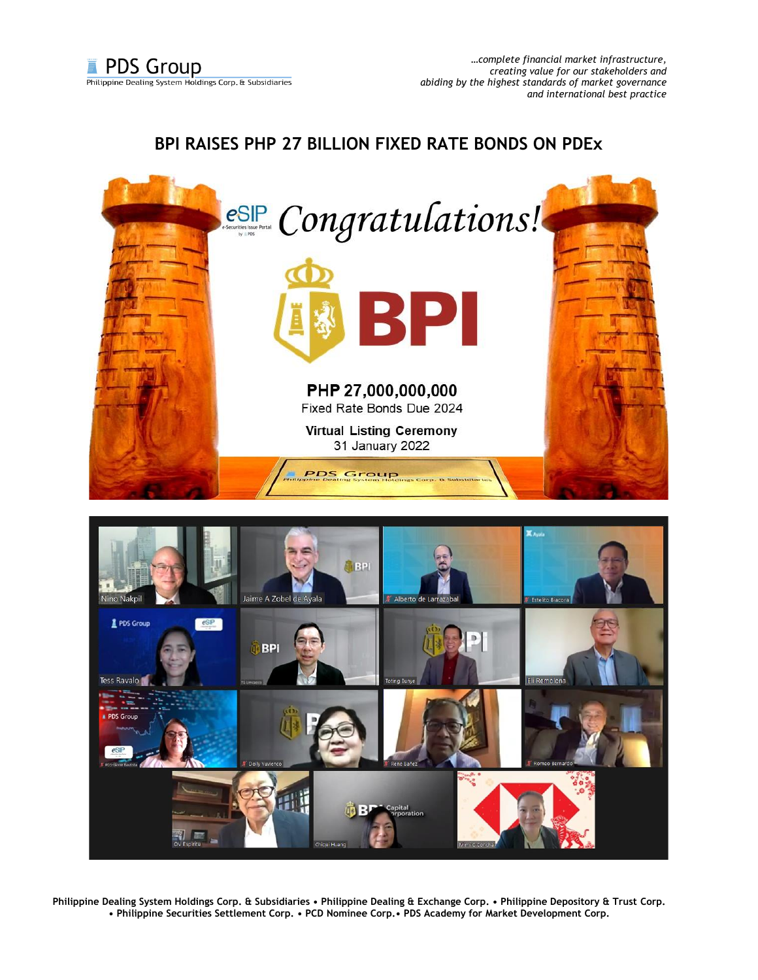## **BPI RAISES PHP 27 BILLION FIXED RATE BONDS ON PDEx**





**Philippine Dealing System Holdings Corp. & Subsidiaries • Philippine Dealing & Exchange Corp. • Philippine Depository & Trust Corp. • Philippine Securities Settlement Corp. • PCD Nominee Corp.• PDS Academy for Market Development Corp.**